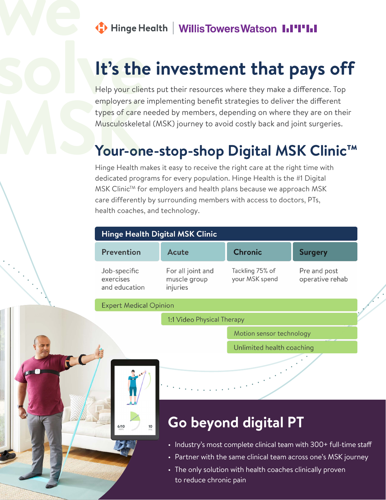#### Hinge Health | Willis Towers Watson || || ||

# **It's the investment that pays off**

employers are<br>types of care<br>Musculoskelet<br>**MUIT-ON**<br>Hinge Health n **solve Help your clients put their resources where they make a difference. Top**<br>employers are implementing benefit strategies to deliver the different employers are implementing benefit strategies to deliver the different types of care needed by members, depending on where they are on their Musculoskeletal (MSK) journey to avoid costly back and joint surgeries.

### **Your-one-stop-shop Digital MSK Clinic™**

Hinge Health makes it easy to receive the right care at the right time with dedicated programs for every population. Hinge Health is the #1 Digital MSK Clinic<sup>™</sup> for employers and health plans because we approach MSK care differently by surrounding members with access to doctors, PTs, health coaches, and technology.

| <b>Hinge Health Digital MSK Clinic</b>     |                                               |                                   |                                 |
|--------------------------------------------|-----------------------------------------------|-----------------------------------|---------------------------------|
| Prevention                                 | Acute                                         | <b>Chronic</b>                    | <b>Surgery</b>                  |
| Job-specific<br>exercises<br>and education | For all joint and<br>muscle group<br>injuries | Tackling 75% of<br>your MSK spend | Pre and post<br>operative rehab |
| <b>Expert Medical Opinion</b>              |                                               |                                   |                                 |
|                                            |                                               |                                   |                                 |

l:1 Video Physical Therapy

Motion sensor technology

Unlimited health coaching



 $\left\langle \cdot , \cdot \right\rangle$ 

Æ

## **Go beyond digital PT**

- Industry's most complete clinical team with 300+ full-time staff
- Partner with the same clinical team across one's MSK journey
- The only solution with health coaches clinically proven to reduce chronic pain